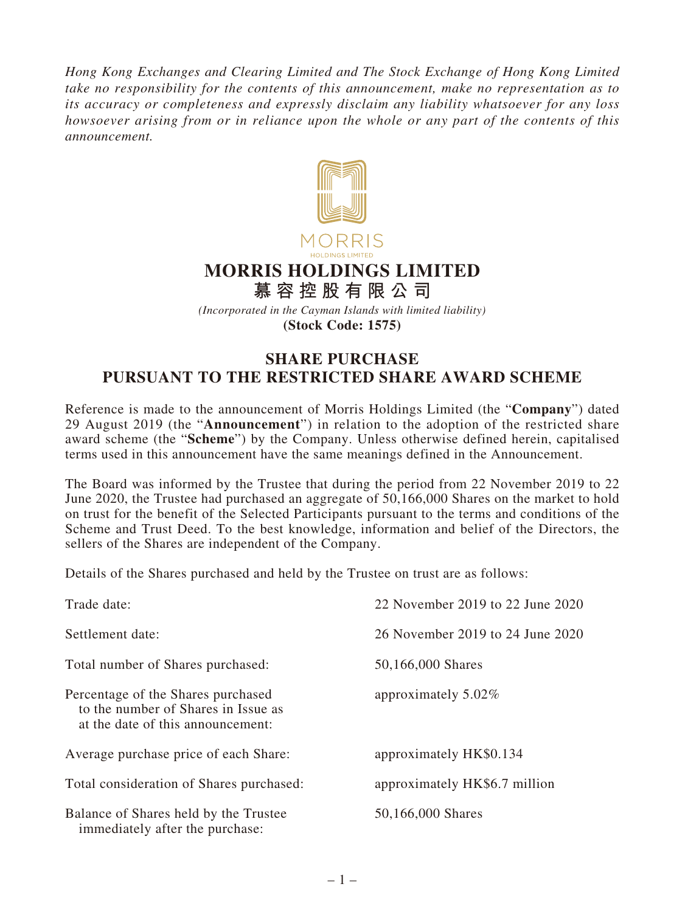*Hong Kong Exchanges and Clearing Limited and The Stock Exchange of Hong Kong Limited take no responsibility for the contents of this announcement, make no representation as to its accuracy or completeness and expressly disclaim any liability whatsoever for any loss howsoever arising from or in reliance upon the whole or any part of the contents of this announcement.*



## **MORRIS HOLDINGS LIMITED**

**慕容控股有限公司** *(Incorporated in the Cayman Islands with limited liability)*

**(Stock Code: 1575)**

## **SHARE PURCHASE PURSUANT TO THE RESTRICTED SHARE AWARD SCHEME**

Reference is made to the announcement of Morris Holdings Limited (the "**Company**") dated 29 August 2019 (the "**Announcement**") in relation to the adoption of the restricted share award scheme (the "**Scheme**") by the Company. Unless otherwise defined herein, capitalised terms used in this announcement have the same meanings defined in the Announcement.

The Board was informed by the Trustee that during the period from 22 November 2019 to 22 June 2020, the Trustee had purchased an aggregate of 50,166,000 Shares on the market to hold on trust for the benefit of the Selected Participants pursuant to the terms and conditions of the Scheme and Trust Deed. To the best knowledge, information and belief of the Directors, the sellers of the Shares are independent of the Company.

Details of the Shares purchased and held by the Trustee on trust are as follows:

| Trade date:                                                                                                    | 22 November 2019 to 22 June 2020 |
|----------------------------------------------------------------------------------------------------------------|----------------------------------|
| Settlement date:                                                                                               | 26 November 2019 to 24 June 2020 |
| Total number of Shares purchased:                                                                              | 50,166,000 Shares                |
| Percentage of the Shares purchased<br>to the number of Shares in Issue as<br>at the date of this announcement: | approximately $5.02\%$           |
| Average purchase price of each Share:                                                                          | approximately HK\$0.134          |
| Total consideration of Shares purchased:                                                                       | approximately HK\$6.7 million    |
| Balance of Shares held by the Trustee<br>immediately after the purchase:                                       | 50,166,000 Shares                |